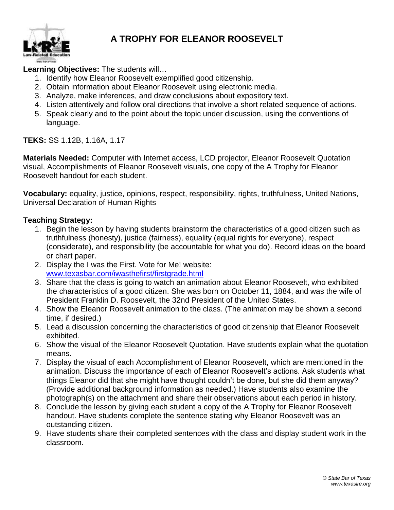

#### **A TROPHY FOR ELEANOR ROOSEVELT**

#### **Learning Objectives:** The students will…

- 1. Identify how Eleanor Roosevelt exemplified good citizenship.
- 2. Obtain information about Eleanor Roosevelt using electronic media.
- 3. Analyze, make inferences, and draw conclusions about expository text.
- 4. Listen attentively and follow oral directions that involve a short related sequence of actions.
- 5. Speak clearly and to the point about the topic under discussion, using the conventions of language.

**TEKS:** SS 1.12B, 1.16A, 1.17

**Materials Needed:** Computer with Internet access, LCD projector, Eleanor Roosevelt Quotation visual, Accomplishments of Eleanor Roosevelt visuals, one copy of the A Trophy for Eleanor Roosevelt handout for each student.

**Vocabulary:** equality, justice, opinions, respect, responsibility, rights, truthfulness, United Nations, Universal Declaration of Human Rights

#### **Teaching Strategy:**

- 1. Begin the lesson by having students brainstorm the characteristics of a good citizen such as truthfulness (honesty), justice (fairness), equality (equal rights for everyone), respect (considerate), and responsibility (be accountable for what you do). Record ideas on the board or chart paper.
- 2. Display the I was the First. Vote for Me! website: [www.texasbar.com/iwasthefirst/firstgrade.html](http://www.texasbar.com/iwasthefirst/firstgrade.html)
- 3. Share that the class is going to watch an animation about Eleanor Roosevelt, who exhibited the characteristics of a good citizen. She was born on October 11, 1884, and was the wife of President Franklin D. Roosevelt, the 32nd President of the United States.
- 4. Show the Eleanor Roosevelt animation to the class. (The animation may be shown a second time, if desired.)
- 5. Lead a discussion concerning the characteristics of good citizenship that Eleanor Roosevelt exhibited.
- 6. Show the visual of the Eleanor Roosevelt Quotation. Have students explain what the quotation means.
- 7. Display the visual of each Accomplishment of Eleanor Roosevelt, which are mentioned in the animation. Discuss the importance of each of Eleanor Roosevelt's actions. Ask students what things Eleanor did that she might have thought couldn't be done, but she did them anyway? (Provide additional background information as needed.) Have students also examine the photograph(s) on the attachment and share their observations about each period in history.
- 8. Conclude the lesson by giving each student a copy of the A Trophy for Eleanor Roosevelt handout. Have students complete the sentence stating why Eleanor Roosevelt was an outstanding citizen.
- 9. Have students share their completed sentences with the class and display student work in the classroom.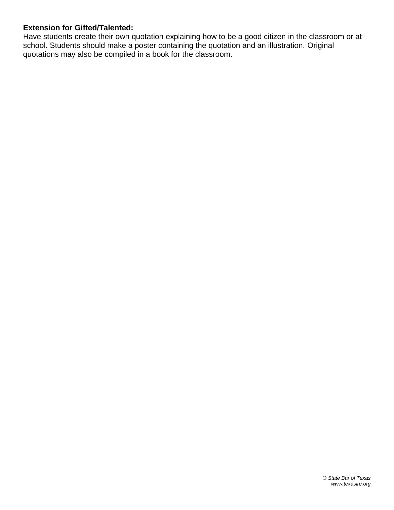#### **Extension for Gifted/Talented:**

Have students create their own quotation explaining how to be a good citizen in the classroom or at school. Students should make a poster containing the quotation and an illustration. Original quotations may also be compiled in a book for the classroom.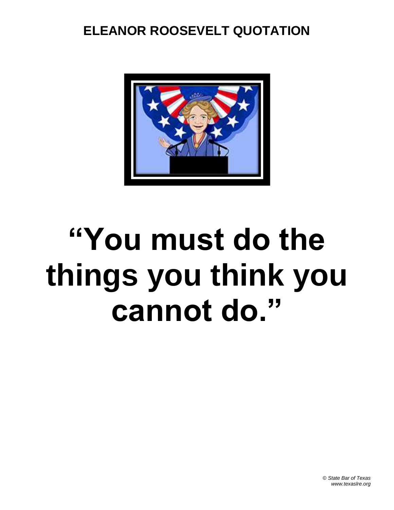#### **ELEANOR ROOSEVELT QUOTATION**



# **"You must do the things you think you cannot do."**

© *State Bar of Texas www.texaslre.org*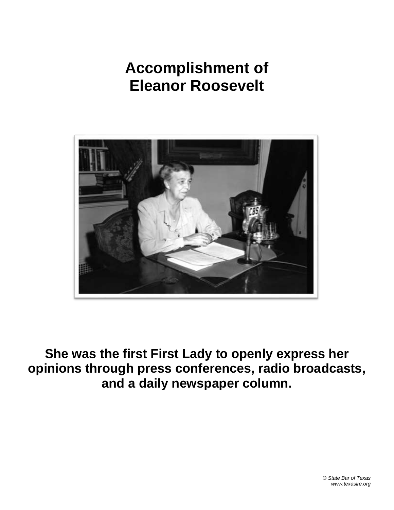

**She was the first First Lady to openly express her opinions through press conferences, radio broadcasts, and a daily newspaper column.**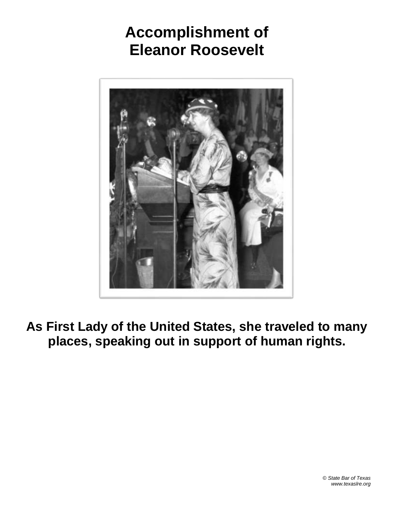

**As First Lady of the United States, she traveled to many places, speaking out in support of human rights.**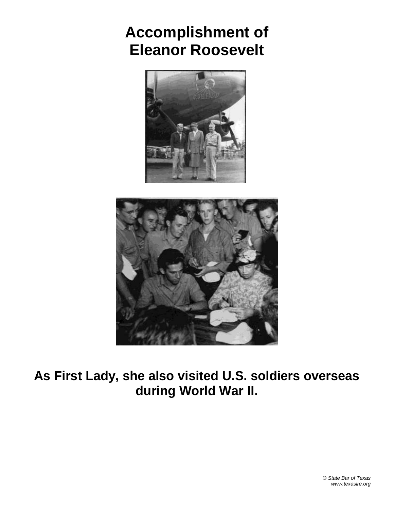



**As First Lady, she also visited U.S. soldiers overseas during World War II.**

> © *State Bar of Texas www.texaslre.org*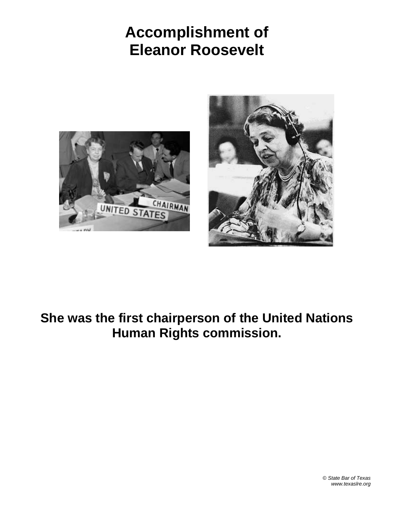



#### **She was the first chairperson of the United Nations Human Rights commission.**

© *State Bar of Texas www.texaslre.org*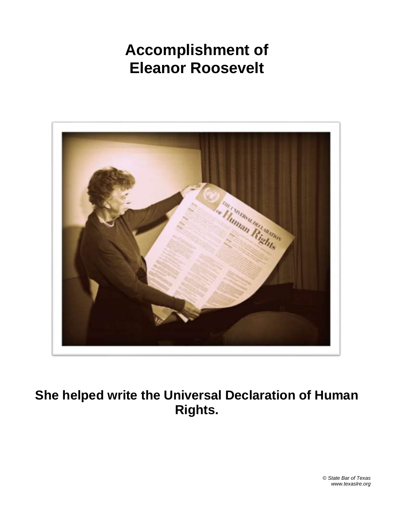

**She helped write the Universal Declaration of Human Rights.**